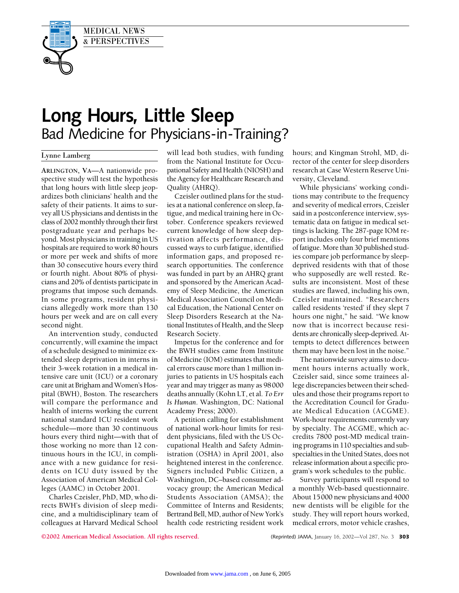# **Long Hours, Little Sleep** Bad Medicine for Physicians-in-Training?

#### Lynne Lamberg

**ARLINGTON, VA**—A nationwide prospective study will test the hypothesis that long hours with little sleep jeopardizes both clinicians' health and the safety of their patients. It aims to survey all US physicians and dentists in the class of 2002 monthly through their first postgraduate year and perhaps beyond. Most physicians in training in US hospitals are required to work 80 hours or more per week and shifts of more than 30 consecutive hours every third or fourth night. About 80% of physicians and 20% of dentists participate in programs that impose such demands. In some programs, resident physicians allegedly work more than 130 hours per week and are on call every second night.

An intervention study, conducted concurrently, will examine the impact of a schedule designed to minimize extended sleep deprivation in interns in their 3-week rotation in a medical intensive care unit (ICU) or a coronary care unit at Brigham and Women's Hospital (BWH), Boston. The researchers will compare the performance and health of interns working the current national standard ICU resident work schedule—more than 30 continuous hours every third night—with that of those working no more than 12 continuous hours in the ICU, in compliance with a new guidance for residents on ICU duty issued by the Association of American Medical Colleges (AAMC) in October 2001.

Charles Czeisler, PhD, MD, who directs BWH's division of sleep medicine, and a multidisciplinary team of colleagues at Harvard Medical School

will lead both studies, with funding from the National Institute for Occupational Safety and Health (NIOSH) and the Agency for Healthcare Research and Quality (AHRQ).

Czeisler outlined plans for the studies at a national conference on sleep, fatigue, and medical training here in October. Conference speakers reviewed current knowledge of how sleep deprivation affects performance, discussed ways to curb fatigue, identified information gaps, and proposed research opportunities. The conference was funded in part by an AHRQ grant and sponsored by the American Academy of Sleep Medicine, the American Medical Association Council on Medical Education, the National Center on Sleep Disorders Research at the National Institutes of Health, and the Sleep Research Society.

Impetus for the conference and for the BWH studies came from Institute of Medicine (IOM) estimates that medical errors cause more than 1 million injuries to patients in US hospitals each year and may trigger as many as 98000 deaths annually (Kohn LT, et al. *To Err Is Human*. Washington, DC: National Academy Press; 2000).

A petition calling for establishment of national work-hour limits for resident physicians, filed with the US Occupational Health and Safety Administration (OSHA) in April 2001, also heightened interest in the conference. Signers included Public Citizen, a Washington, DC–based consumer advocacy group; the American Medical Students Association (AMSA); the Committee of Interns and Residents; Bertrand Bell, MD, author of New York's health code restricting resident work hours; and Kingman Strohl, MD, director of the center for sleep disorders research at Case Western Reserve University, Cleveland.

While physicians' working conditions may contribute to the frequency and severity of medical errors, Czeisler said in a postconference interview, systematic data on fatigue in medical settings is lacking. The 287-page IOM report includes only four brief mentions of fatigue. More than 30 published studies compare job performance by sleepdeprived residents with that of those who supposedly are well rested. Results are inconsistent. Most of these studies are flawed, including his own, Czeisler maintained. "Researchers called residents 'rested' if they slept 7 hours one night," he said. "We know now that is incorrect because residents are chronically sleep-deprived. Attempts to detect differences between them may have been lost in the noise."

The nationwide survey aims to document hours interns actually work, Czeisler said, since some trainees allege discrepancies between their schedules and those their programs report to the Accreditation Council for Graduate Medical Education (ACGME). Work-hour requirements currently vary by specialty. The ACGME, which accredits 7800 post-MD medical training programs in 110 specialties and subspecialties in the United States, does not release information about a specific program's work schedules to the public.

Survey participants will respond to a monthly Web-based questionnaire. About 15000 new physicians and 4000 new dentists will be eligible for the study. They will report hours worked, medical errors, motor vehicle crashes,

**©2002 American Medical Association. All rights reserved.** (Reprinted) JAMA, January 16, 2002—Vol 287, No. 3 **303**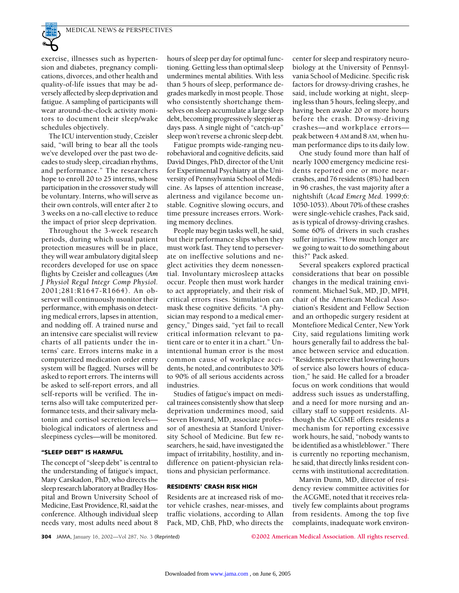

exercise, illnesses such as hypertension and diabetes, pregnancy complications, divorces, and other health and quality-of-life issues that may be adversely affected by sleep deprivation and fatigue. A sampling of participants will wear around-the-clock activity monitors to document their sleep/wake schedules objectively.

The ICU intervention study, Czeisler said, "will bring to bear all the tools we've developed over the past two decades to study sleep, circadian rhythms, and performance." The researchers hope to enroll 20 to 25 interns, whose participation in the crossover study will be voluntary. Interns, who will serve as their own controls, will enter after 2 to 3 weeks on a no-call elective to reduce the impact of prior sleep deprivation.

Throughout the 3-week research periods, during which usual patient protection measures will be in place, they will wear ambulatory digital sleep recorders developed for use on space flights by Czeisler and colleagues (*Am J Physiol Regul Integr Comp Physiol.* 2001;281:R1647-R1664). An observer will continuously monitor their performance, with emphasis on detecting medical errors, lapses in attention, and nodding off. A trained nurse and an intensive care specialist will review charts of all patients under the interns' care. Errors interns make in a computerized medication order entry system will be flagged. Nurses will be asked to report errors. The interns will be asked to self-report errors, and all self-reports will be verified. The interns also will take computerized performance tests, and their salivary melatonin and cortisol secretion levels biological indicators of alertness and sleepiness cycles—will be monitored.

## **"SLEEP DEBT" IS HARMFUL**

The concept of "sleep debt" is central to the understanding of fatigue's impact, Mary Carskadon, PhD, who directs the sleep research laboratory at Bradley Hospital and Brown University School of Medicine, East Providence, RI, said at the conference. Although individual sleep needs vary, most adults need about 8

hours of sleep per day for optimal functioning. Getting less than optimal sleep undermines mental abilities. With less than 5 hours of sleep, performance degrades markedly in most people. Those who consistently shortchange themselves on sleep accumulate a large sleep debt, becoming progressively sleepier as days pass. A single night of "catch-up" sleep won't reverse a chronic sleep debt.

Fatigue prompts wide-ranging neurobehavioral and cognitive deficits, said David Dinges, PhD, director of the Unit for Experimental Psychiatry at the University of Pennsylvania School of Medicine. As lapses of attention increase, alertness and vigilance become unstable. Cognitive slowing occurs, and time pressure increases errors. Working memory declines.

People may begin tasks well, he said, but their performance slips when they must work fast. They tend to perseverate on ineffective solutions and neglect activities they deem nonessential. Involuntary microsleep attacks occur. People then must work harder to act appropriately, and their risk of critical errors rises. Stimulation can mask these cognitive deficits. "A physician may respond to a medical emergency," Dinges said, "yet fail to recall critical information relevant to patient care or to enter it in a chart." Unintentional human error is the most common cause of workplace accidents, he noted, and contributes to 30% to 90% of all serious accidents across industries.

Studies of fatigue's impact on medical trainees consistently show that sleep deprivation undermines mood, said Steven Howard, MD, associate professor of anesthesia at Stanford University School of Medicine. But few researchers, he said, have investigated the impact of irritability, hostility, and indifference on patient-physician relations and physician performance.

#### **RESIDENTS' CRASH RISK HIGH**

Residents are at increased risk of motor vehicle crashes, near-misses, and traffic violations, according to Allan Pack, MD, ChB, PhD, who directs the

center for sleep and respiratory neurobiology at the University of Pennsylvania School of Medicine. Specific risk factors for drowsy-driving crashes, he said, include working at night, sleeping less than 5 hours, feeling sleepy, and having been awake 20 or more hours before the crash. Drowsy-driving crashes—and workplace errors peak between 4 AM and 8 AM, when human performance dips to its daily low.

One study found more than half of nearly 1000 emergency medicine residents reported one or more nearcrashes, and 76 residents (8%) had been in 96 crashes, the vast majority after a nightshift (*Acad Emerg Med.* 1999;6: 1050-1053). About 70% of these crashes were single-vehicle crashes, Pack said, as is typical of drowsy-driving crashes. Some 60% of drivers in such crashes suffer injuries. "How much longer are we going to wait to do something about this?" Pack asked.

Several speakers explored practical considerations that bear on possible changes in the medical training environment. Michael Suk, MD, JD, MPH, chair of the American Medical Association's Resident and Fellow Section and an orthopedic surgery resident at Montefiore Medical Center, New York City, said regulations limiting work hours generally fail to address the balance between service and education. "Residents perceive that lowering hours of service also lowers hours of education," he said. He called for a broader focus on work conditions that would address such issues as understaffing, and a need for more nursing and ancillary staff to support residents. Although the ACGME offers residents a mechanism for reporting excessive work hours, he said, "nobody wants to be identified as a whistleblower." There is currently no reporting mechanism, he said, that directly links resident concerns with institutional accreditation.

Marvin Dunn, MD, director of residency review committee activities for the ACGME, noted that it receives relatively few complaints about programs from residents. Among the top five complaints, inadequate work environ-

**304** JAMA, January 16, 2002—Vol 287, No. 3 (Reprinted) **©2002 American Medical Association. All rights reserved.**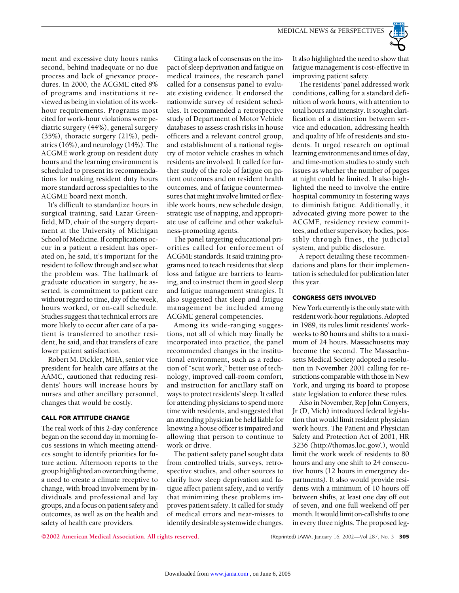

It's difficult to standardize hours in surgical training, said Lazar Greenfield, MD, chair of the surgery department at the University of Michigan School of Medicine. If complications occur in a patient a resident has operated on, he said, it's important for the resident to follow through and see what the problem was. The hallmark of graduate education in surgery, he asserted, is commitment to patient care without regard to time, day of the week, hours worked, or on-call schedule. Studies suggest that technical errors are more likely to occur after care of a patient is transferred to another resident, he said, and that transfers of care lower patient satisfaction.

Robert M. Dickler, MHA, senior vice president for health care affairs at the AAMC, cautioned that reducing residents' hours will increase hours by nurses and other ancillary personnel, changes that would be costly.

#### **CALL FOR ATTITUDE CHANGE**

The real work of this 2-day conference began on the second day in morning focus sessions in which meeting attendees sought to identify priorities for future action. Afternoon reports to the group highlighted an overarching theme, a need to create a climate receptive to change, with broad involvement by individuals and professional and lay groups, and a focus on patient safety and outcomes, as well as on the health and safety of health care providers.

Citing a lack of consensus on the impact of sleep deprivation and fatigue on medical trainees, the research panel called for a consensus panel to evaluate existing evidence. It endorsed the nationwide survey of resident schedules. It recommended a retrospective study of Department of Motor Vehicle databases to assess crash risks in house officers and a relevant control group, and establishment of a national registry of motor vehicle crashes in which residents are involved. It called for further study of the role of fatigue on patient outcomes and on resident health outcomes, and of fatigue countermeasures that might involve limited or flexible work hours, new schedule design, strategic use of napping, and appropriate use of caffeine and other wakefulness-promoting agents.

The panel targeting educational priorities called for enforcement of ACGME standards. It said training programs need to teach residents that sleep loss and fatigue are barriers to learning, and to instruct them in good sleep and fatigue management strategies. It also suggested that sleep and fatigue management be included among ACGME general competencies.

Among its wide-ranging suggestions, not all of which may finally be incorporated into practice, the panel recommended changes in the institutional environment, such as a reduction of "scut work," better use of technology, improved call-room comfort, and instruction for ancillary staff on ways to protect residents'sleep. It called for attending physicians to spend more time with residents, and suggested that an attending physician be held liable for knowing a house officer is impaired and allowing that person to continue to work or drive.

The patient safety panel sought data from controlled trials, surveys, retrospective studies, and other sources to clarify how sleep deprivation and fatigue affect patient safety, and to verify that minimizing these problems improves patient safety. It called for study of medical errors and near-misses to identify desirable systemwide changes.

It also highlighted the need to show that fatigue management is cost-effective in improving patient safety.

The residents' panel addressed work conditions, calling for a standard definition of work hours, with attention to total hours and intensity. It sought clarification of a distinction between service and education, addressing health and quality of life of residents and students. It urged research on optimal learning environments and times of day, and time-motion studies to study such issues as whether the number of pages at night could be limited. It also highlighted the need to involve the entire hospital community in fostering ways to diminish fatigue. Additionally, it advocated giving more power to the ACGME, residency review committees, and other supervisory bodies, possibly through fines, the judicial system, and public disclosure.

A report detailing these recommendations and plans for their implementation is scheduled for publication later this year.

#### **CONGRESS GETS INVOLVED**

New York currently is the only state with resident work-hour regulations. Adopted in 1989, its rules limit residents' workweeks to 80 hours and shifts to a maximum of 24 hours. Massachusetts may become the second. The Massachusetts Medical Society adopted a resolution in November 2001 calling for restrictions comparable with those in New York, and urging its board to propose state legislation to enforce these rules.

Also in November, Rep John Conyers, Jr (D, Mich) introduced federal legislation that would limit resident physician work hours. The Patient and Physician Safety and Protection Act of 2001, HR 3236 (http://thomas.loc.gov/.), would limit the work week of residents to 80 hours and any one shift to 24 consecutive hours (12 hours in emergency departments). It also would provide residents with a minimum of 10 hours off between shifts, at least one day off out of seven, and one full weekend off per month. It would limit on-call shifts to one in every three nights. The proposed leg-

**©2002 American Medical Association. All rights reserved.** (Reprinted) JAMA, January 16, 2002—Vol 287, No. 3 **305**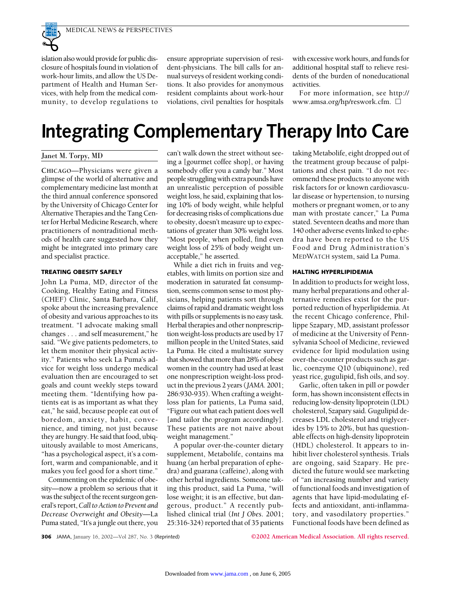islation also would provide for public disclosure of hospitals found in violation of work-hour limits, and allow the US Department of Health and Human Services, with help from the medical community, to develop regulations to

ensure appropriate supervision of resident-physicians. The bill calls for annual surveys of resident working conditions. It also provides for anonymous resident complaints about work-hour violations, civil penalties for hospitals

with excessive work hours, and funds for additional hospital staff to relieve residents of the burden of noneducational activities.

For more information, see http:// www.amsa.org/hp/reswork.cfm.

# **Integrating Complementary Therapy Into Care**

#### Janet M. Torpy, MD

**CHICAGO**—Physicians were given a glimpse of the world of alternative and complementary medicine last month at the third annual conference sponsored by the University of Chicago Center for Alternative Therapies and the Tang Center for Herbal Medicine Research, where practitioners of nontraditional methods of health care suggested how they might be integrated into primary care and specialist practice.

#### **TREATING OBESITY SAFELY**

John La Puma, MD, director of the Cooking, Healthy Eating and Fitness (CHEF) Clinic, Santa Barbara, Calif, spoke about the increasing prevalence of obesity and various approaches to its treatment. "I advocate making small changes . . . and self measurement," he said. "We give patients pedometers, to let them monitor their physical activity." Patients who seek La Puma's advice for weight loss undergo medical evaluation then are encouraged to set goals and count weekly steps toward meeting them. "Identifying how patients eat is as important as what they eat," he said, because people eat out of boredom, anxiety, habit, convenience, and timing, not just because they are hungry. He said that food, ubiquitously available to most Americans, "has a psychological aspect, it's a comfort, warm and companionable, and it makes you feel good for a short time."

Commenting on the epidemic of obesity—now a problem so serious that it was the subject of the recent surgeon general's report,*Call to Action to Prevent and Decrease Overweight and Obesity*—La Puma stated, "It's a jungle out there, you

can't walk down the street without seeing a [gourmet coffee shop], or having somebody offer you a candy bar." Most people struggling with extra pounds have an unrealistic perception of possible weight loss, he said, explaining that losing 10% of body weight, while helpful for decreasing risks of complications due to obesity, doesn't measure up to expectations of greater than 30% weight loss. "Most people, when polled, find even weight loss of 25% of body weight unacceptable," he asserted.

While a diet rich in fruits and vegetables, with limits on portion size and moderation in saturated fat consumption, seems common sense to most physicians, helping patients sort through claims of rapid and dramatic weight loss with pills or supplements is no easy task. Herbal therapies and other nonprescription weight-loss products are used by 17 million people in the United States, said La Puma. He cited a multistate survey that showed that more than 28% of obese women in the country had used at least one nonprescription weight-loss product in the previous 2 years (*JAMA.* 2001; 286:930-935). When crafting a weightloss plan for patients, La Puma said, "Figure out what each patient does well [and tailor the program accordingly]. These patients are not naive about weight management."

A popular over-the-counter dietary supplement, Metabolife, contains ma huang (an herbal preparation of ephedra) and guarana (caffeine), along with other herbal ingredients. Someone taking this product, said La Puma, "will lose weight; it is an effective, but dangerous, product." A recently published clinical trial (*Int J Obes*. 2001; 25:316-324) reported that of 35 patients

taking Metabolife, eight dropped out of the treatment group because of palpitations and chest pain. "I do not recommend these products to anyone with risk factors for or known cardiovascular disease or hypertension, to nursing mothers or pregnant women, or to any man with prostate cancer," La Puma stated. Seventeen deaths and more than 140 other adverse events linked to ephedra have been reported to the US Food and Drug Administration's MEDWATCH system, said La Puma.

#### **HALTING HYPERLIPIDEMIA**

In addition to products for weight loss, many herbal preparations and other alternative remedies exist for the purported reduction of hyperlipidemia. At the recent Chicago conference, Phillippe Szapary, MD, assistant professor of medicine at the University of Pennsylvania School of Medicine, reviewed evidence for lipid modulation using over-the-counter products such as garlic, coenzyme Q10 (ubiquinone), red yeast rice, gugulipid, fish oils, and soy.

Garlic, often taken in pill or powder form, has shown inconsistent effects in reducing low-density lipoprotein (LDL) cholesterol, Szapary said. Gugulipid decreases LDL cholesterol and triglycerides by 15% to 20%, but has questionable effects on high-density lipoprotein (HDL) cholesterol. It appears to inhibit liver cholesterol synthesis. Trials are ongoing, said Szapary. He predicted the future would see marketing of "an increasing number and variety of functional foods and investigation of agents that have lipid-modulating effects and antioxidant, anti-inflammatory, and vasodilatory properties." Functional foods have been defined as

**306** JAMA, January 16, 2002—Vol 287, No. 3 (Reprinted) **©2002 American Medical Association. All rights reserved.**